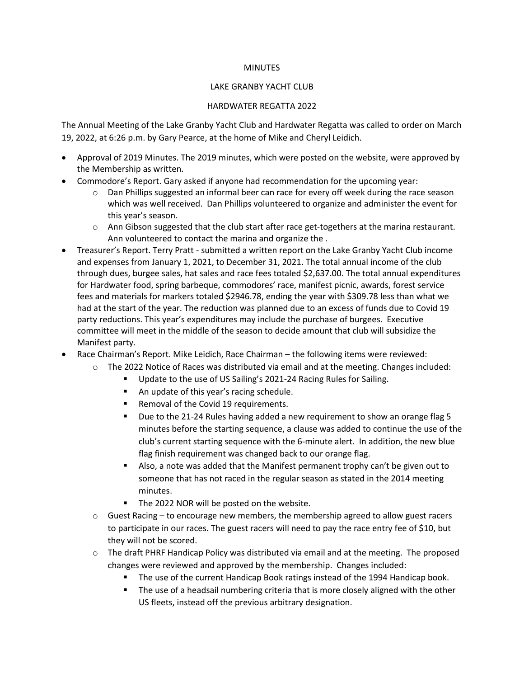## **MINUTES**

## LAKE GRANBY YACHT CLUB

## HARDWATER REGATTA 2022

The Annual Meeting of the Lake Granby Yacht Club and Hardwater Regatta was called to order on March 19, 2022, at 6:26 p.m. by Gary Pearce, at the home of Mike and Cheryl Leidich.

- Approval of 2019 Minutes. The 2019 minutes, which were posted on the website, were approved by the Membership as written.
- Commodore's Report. Gary asked if anyone had recommendation for the upcoming year:
	- o Dan Phillips suggested an informal beer can race for every off week during the race season which was well received. Dan Phillips volunteered to organize and administer the event for this year's season.
	- $\circ$  Ann Gibson suggested that the club start after race get-togethers at the marina restaurant. Ann volunteered to contact the marina and organize the .
- Treasurer's Report. Terry Pratt submitted a written report on the Lake Granby Yacht Club income and expenses from January 1, 2021, to December 31, 2021. The total annual income of the club through dues, burgee sales, hat sales and race fees totaled \$2,637.00. The total annual expenditures for Hardwater food, spring barbeque, commodores' race, manifest picnic, awards, forest service fees and materials for markers totaled \$2946.78, ending the year with \$309.78 less than what we had at the start of the year. The reduction was planned due to an excess of funds due to Covid 19 party reductions. This year's expenditures may include the purchase of burgees. Executive committee will meet in the middle of the season to decide amount that club will subsidize the Manifest party.
- Race Chairman's Report. Mike Leidich, Race Chairman the following items were reviewed:
	- o The 2022 Notice of Races was distributed via email and at the meeting. Changes included:
		- Update to the use of US Sailing's 2021-24 Racing Rules for Sailing.
			- An update of this year's racing schedule.
			- Removal of the Covid 19 requirements.
			- Due to the 21-24 Rules having added a new requirement to show an orange flag 5 minutes before the starting sequence, a clause was added to continue the use of the club's current starting sequence with the 6-minute alert. In addition, the new blue flag finish requirement was changed back to our orange flag.
			- Also, a note was added that the Manifest permanent trophy can't be given out to someone that has not raced in the regular season as stated in the 2014 meeting minutes.
			- The 2022 NOR will be posted on the website.
	- $\circ$  Guest Racing to encourage new members, the membership agreed to allow guest racers to participate in our races. The guest racers will need to pay the race entry fee of \$10, but they will not be scored.
	- $\circ$  The draft PHRF Handicap Policy was distributed via email and at the meeting. The proposed changes were reviewed and approved by the membership. Changes included:
		- The use of the current Handicap Book ratings instead of the 1994 Handicap book.
		- **•** The use of a headsail numbering criteria that is more closely aligned with the other US fleets, instead off the previous arbitrary designation.